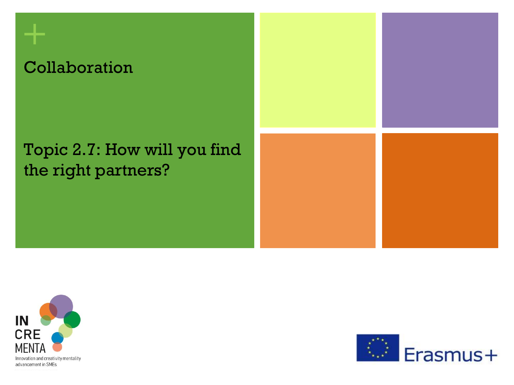### Collaboration

**+**

### Topic 2.7: How will you find the right partners?





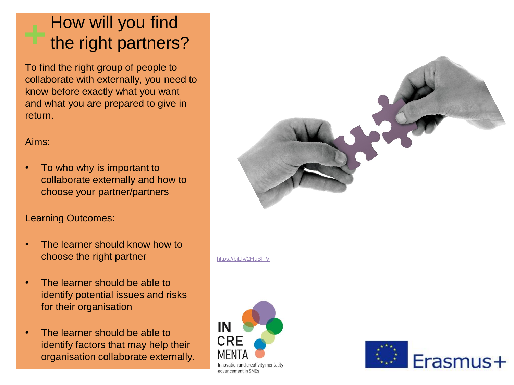### How will you find the right partners?

To find the right group of people to collaborate with externally, you need to know before exactly what you want and what you are prepared to give in return.

#### Aims:

• To who why is important to collaborate externally and how to choose your partner/partners

### Learning Outcomes:

- The learner should know how to choose the right partner
- The learner should be able to identify potential issues and risks for their organisation
- The learner should be able to identify factors that may help their organisation collaborate externally.



<https://bit.ly/2HuBhjV>



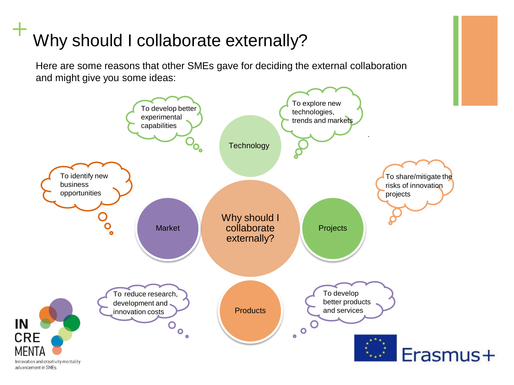# **+** Why should I collaborate externally?

Here are some reasons that other SMEs gave for deciding the external collaboration and might give you some ideas:

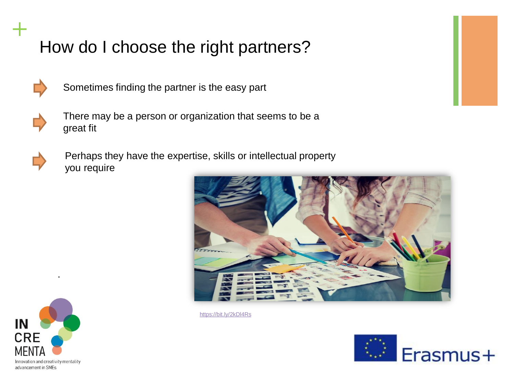

**+**

Sometimes finding the partner is the easy part





Perhaps they have the expertise, skills or intellectual property you require



<https://bit.ly/2kDl4Rs>





.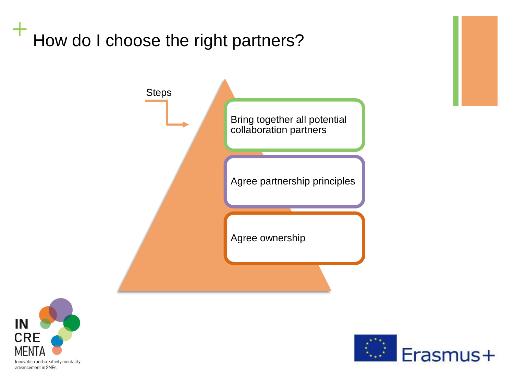



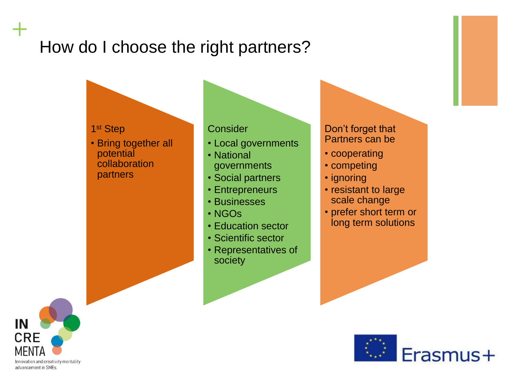1 st Step

• Bring together all potential collaboration partners

#### **Consider**

- Local governments
- National governments
- Social partners
- Entrepreneurs
- Businesses
- NGOs
- Education sector
- Scientific sector
- Representatives of society

#### Don't forget that Partners can be

- cooperating
- competing
- ignoring
- resistant to large scale change
- prefer short term or long term solutions





**+**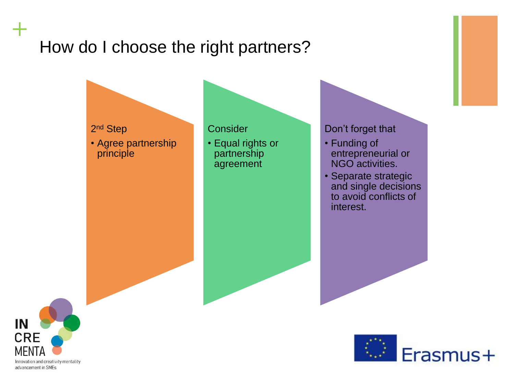

• Agree partnership principle

#### **Consider**

• Equal rights or partnership agreement

#### Don't forget that

- Funding of entrepreneurial or NGO activities.
- Separate strategic and single decisions to avoid conflicts of interest.



**+**

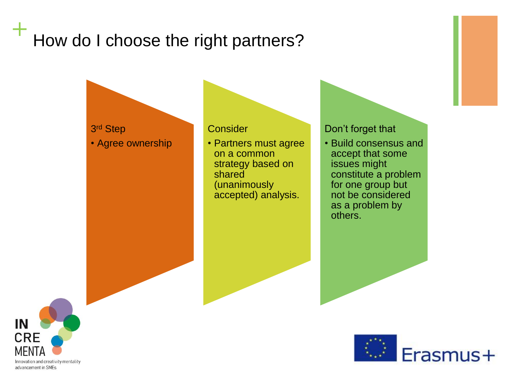#### 3 rd Step • Agree ownership

#### **Consider**

• Partners must agree on a common strategy based on shared (unanimously accepted) analysis.

#### Don't forget that

• Build consensus and accept that some issues might constitute a problem for one group but not be considered as a problem by others.



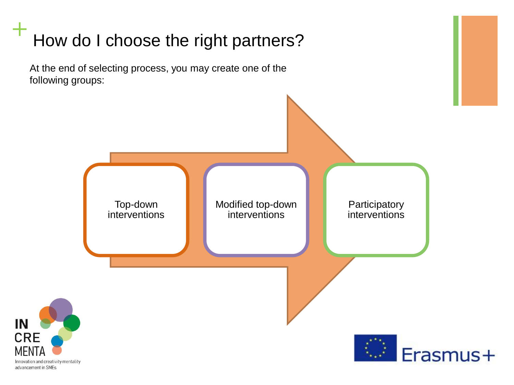# **+** How do I choose the right partners? At the end of selecting process, you may create one of the following groups: Top-down Modified top-down Participatory interventions interventions interventionsIN **CRE** Erasmus+ **MFN** Innovation and creativity mentality advancement in SMEs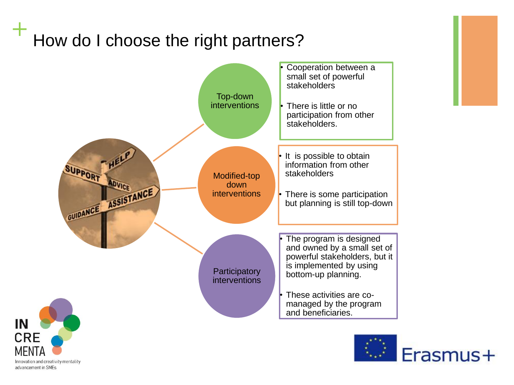



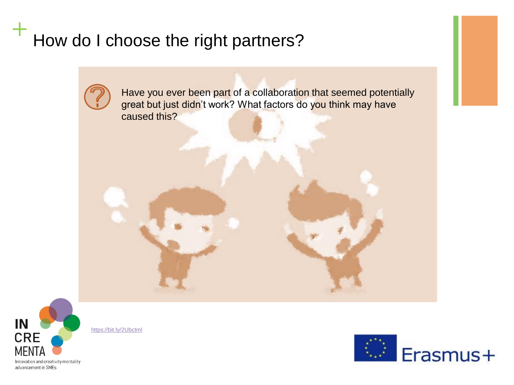

Have you ever been part of a collaboration that seemed potentially great but just didn't work? What factors do you think may have caused this?



<https://bit.ly/2Ubctml>

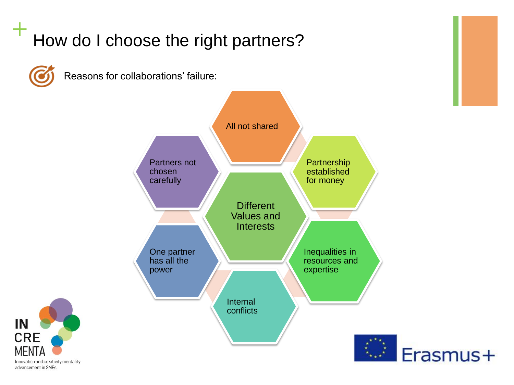

Reasons for collaborations' failure: